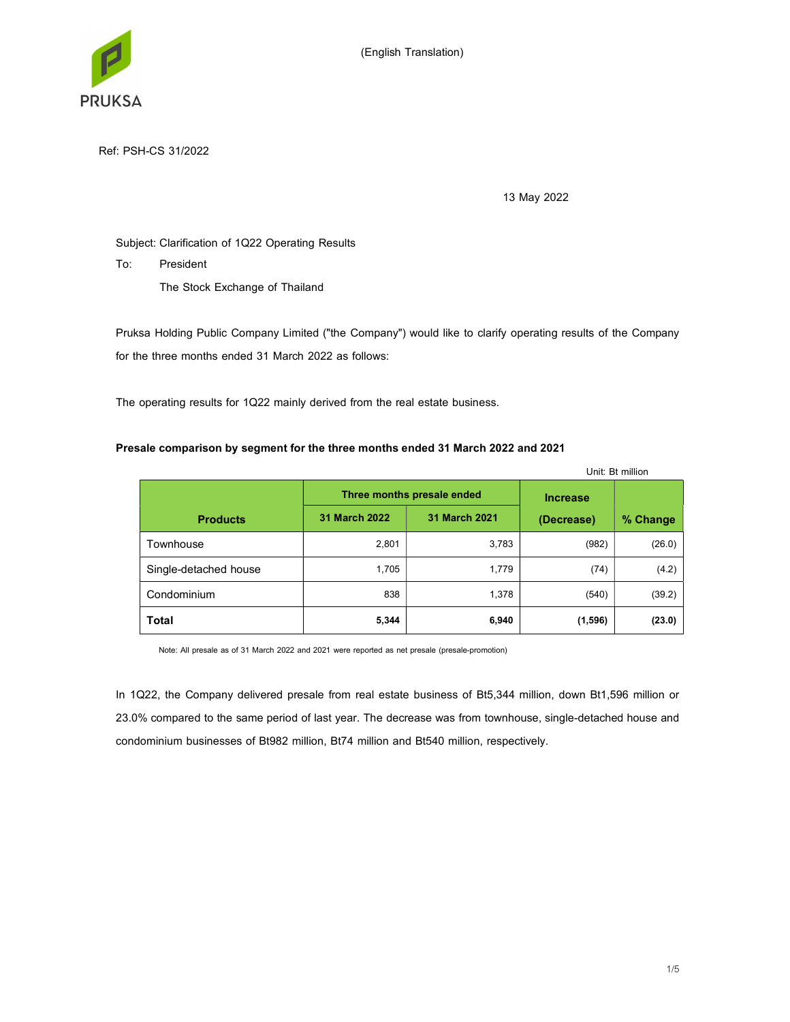

Ref: PSH-CS 31/2022

13 May 2022

# Subject: Clarification of 1Q22 Operating Results

To: President

The Stock Exchange of Thailand

Pruksa Holding Public Company Limited ("the Company") would like to clarify operating results of the Company for the three months ended 31 March 2022 as follows:

The operating results for 1Q22 mainly derived from the real estate business.

# Presale comparison by segment for the three months ended 31 March 2022 and 2021

|                       | Unit: Bt million |                            |                 |          |
|-----------------------|------------------|----------------------------|-----------------|----------|
|                       |                  | Three months presale ended | <b>Increase</b> |          |
| <b>Products</b>       | 31 March 2022    | 31 March 2021              | (Decrease)      | % Change |
| Townhouse             | 2,801            | 3,783                      | (982)           | (26.0)   |
| Single-detached house | 1,705            | 1,779                      | (74)            | (4.2)    |
| Condominium           | 838              | 1,378                      | (540)           | (39.2)   |
| Total                 | 5,344            | 6,940                      | (1, 596)        | (23.0)   |

Note: All presale as of 31 March 2022 and 2021 were reported as net presale (presale-promotion)

In 1Q22, the Company delivered presale from real estate business of Bt5,344 million, down Bt1,596 million or 23.0% compared to the same period of last year. The decrease was from townhouse, single-detached house and condominium businesses of Bt982 million, Bt74 million and Bt540 million, respectively.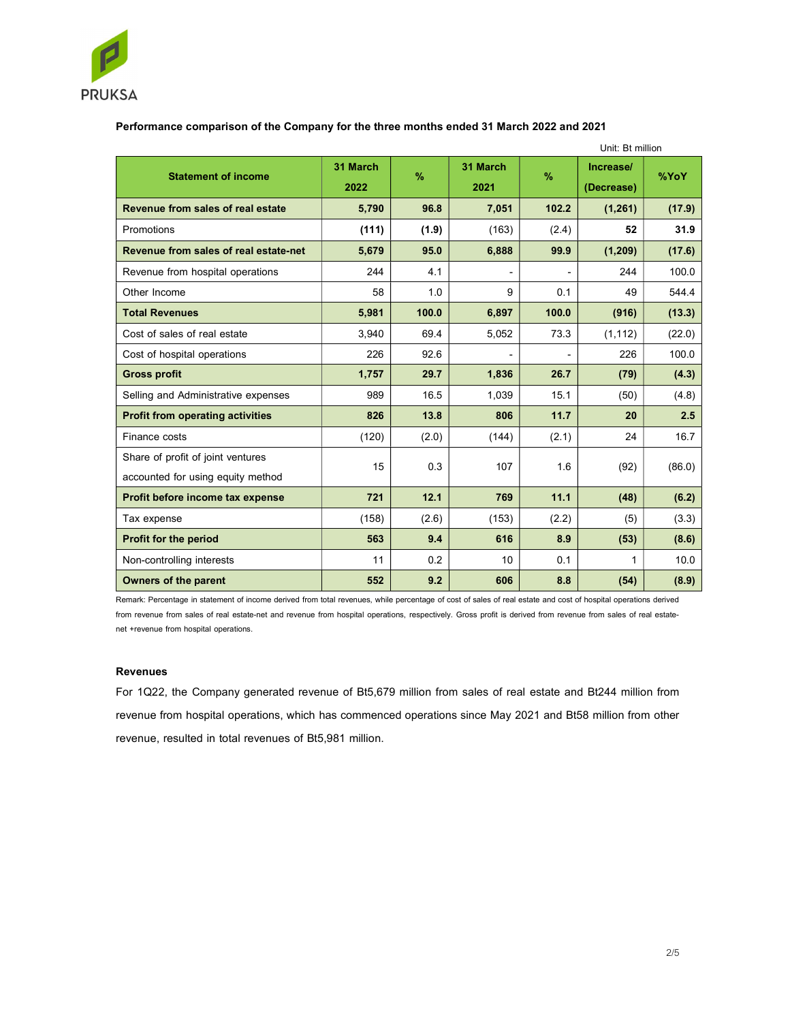

# Performance comparison of the Company for the three months ended 31 March 2022 and 2021

|                                         |                  |       | Unit: Bt million |       |                         |        |
|-----------------------------------------|------------------|-------|------------------|-------|-------------------------|--------|
| <b>Statement of income</b>              | 31 March<br>2022 | $\%$  | 31 March<br>2021 | $\%$  | Increase/<br>(Decrease) | %YoY   |
| Revenue from sales of real estate       | 5,790            | 96.8  | 7,051            | 102.2 | (1, 261)                | (17.9) |
| Promotions                              | (111)            | (1.9) | (163)            | (2.4) | 52                      | 31.9   |
| Revenue from sales of real estate-net   | 5,679            | 95.0  | 6,888            | 99.9  | (1, 209)                | (17.6) |
| Revenue from hospital operations        | 244              | 4.1   |                  |       | 244                     | 100.0  |
| Other Income                            | 58               | 1.0   | 9                | 0.1   | 49                      | 544.4  |
| <b>Total Revenues</b>                   | 5,981            | 100.0 | 6,897            | 100.0 | (916)                   | (13.3) |
| Cost of sales of real estate            | 3,940            | 69.4  | 5,052            | 73.3  | (1, 112)                | (22.0) |
| Cost of hospital operations             | 226              | 92.6  | $\blacksquare$   |       | 226                     | 100.0  |
| <b>Gross profit</b>                     | 1,757            | 29.7  | 1,836            | 26.7  | (79)                    | (4.3)  |
| Selling and Administrative expenses     | 989              | 16.5  | 1,039            | 15.1  | (50)                    | (4.8)  |
| <b>Profit from operating activities</b> | 826              | 13.8  | 806              | 11.7  | 20                      | 2.5    |
| Finance costs                           | (120)            | (2.0) | (144)            | (2.1) | 24                      | 16.7   |
| Share of profit of joint ventures       | 15               | 0.3   | 107              |       |                         | (86.0) |
| accounted for using equity method       |                  |       |                  |       | 1.6<br>(92)             |        |
| Profit before income tax expense        | 721              | 12.1  | 769              | 11.1  | (48)                    | (6.2)  |
| Tax expense                             | (158)            | (2.6) | (153)            | (2.2) | (5)                     | (3.3)  |
| <b>Profit for the period</b>            | 563              | 9.4   | 616              | 8.9   | (53)                    | (8.6)  |
| Non-controlling interests               | 11               | 0.2   | 10               | 0.1   | 1                       | 10.0   |
| <b>Owners of the parent</b>             | 552              | 9.2   | 606              | 8.8   | (54)                    | (8.9)  |

Remark: Percentage in statement of income derived from total revenues, while percentage of cost of sales of real estate and cost of hospital operations derived from revenue from sales of real estate-net and revenue from hospital operations, respectively. Gross profit is derived from revenue from sales of real estatenet +revenue from hospital operations.

#### Revenues

For 1Q22, the Company generated revenue of Bt5,679 million from sales of real estate and Bt244 million from revenue from hospital operations, which has commenced operations since May 2021 and Bt58 million from other revenue, resulted in total revenues of Bt5,981 million.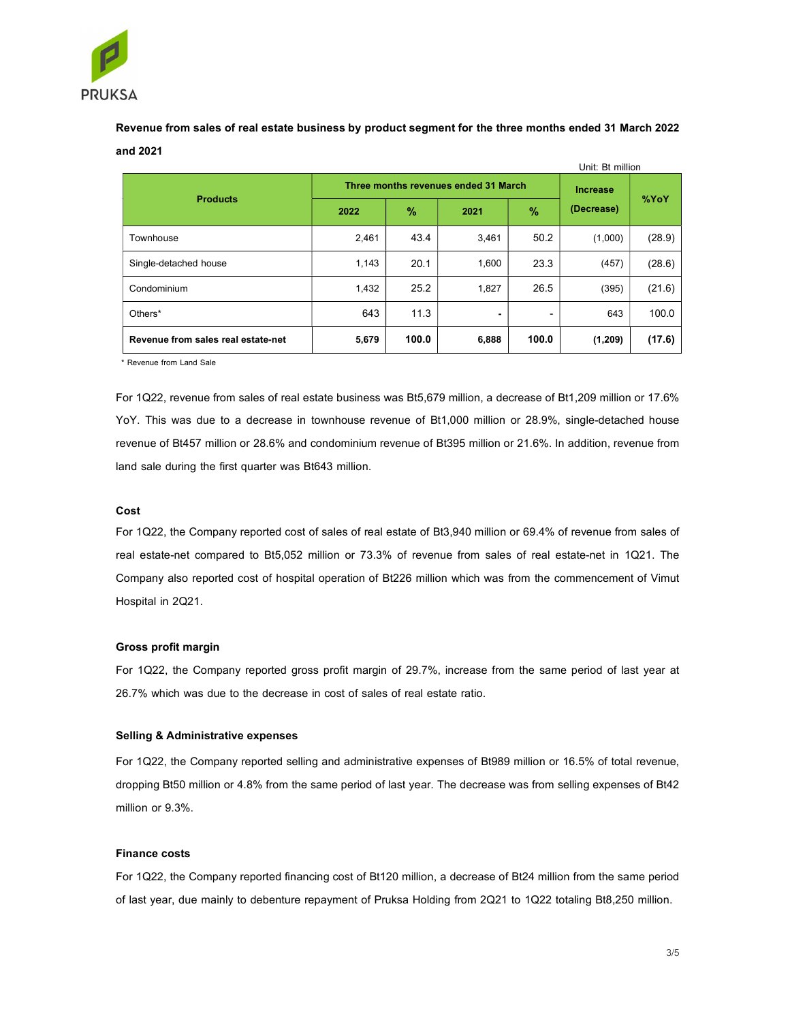

Revenue from sales of real estate business by product segment for the three months ended 31 March 2022 and 2021

|                                    |       |                                      |                 |       | Unit: Bt million |        |
|------------------------------------|-------|--------------------------------------|-----------------|-------|------------------|--------|
|                                    |       | Three months revenues ended 31 March | <b>Increase</b> | %YoY  |                  |        |
| <b>Products</b>                    | 2022  | $\%$                                 | 2021            | $\%$  | (Decrease)       |        |
| Townhouse                          | 2,461 | 43.4                                 | 3,461           | 50.2  | (1,000)          | (28.9) |
| Single-detached house              | 1,143 | 20.1                                 | 1.600           | 23.3  | (457)            | (28.6) |
| Condominium                        | 1,432 | 25.2                                 | 1,827           | 26.5  | (395)            | (21.6) |
| Others*                            | 643   | 11.3                                 | ٠               | ۰     | 643              | 100.0  |
| Revenue from sales real estate-net | 5,679 | 100.0                                | 6,888           | 100.0 | (1, 209)         | (17.6) |

\* Revenue from Land Sale

For 1Q22, revenue from sales of real estate business was Bt5,679 million, a decrease of Bt1,209 million or 17.6% YoY. This was due to a decrease in townhouse revenue of Bt1,000 million or 28.9%, single-detached house revenue of Bt457 million or 28.6% and condominium revenue of Bt395 million or 21.6%. In addition, revenue from land sale during the first quarter was Bt643 million.

#### Cost

For 1Q22, the Company reported cost of sales of real estate of Bt3,940 million or 69.4% of revenue from sales of real estate-net compared to Bt5,052 million or 73.3% of revenue from sales of real estate-net in 1Q21. The Company also reported cost of hospital operation of Bt226 million which was from the commencement of Vimut Hospital in 2Q21.

#### Gross profit margin

For 1Q22, the Company reported gross profit margin of 29.7%, increase from the same period of last year at 26.7% which was due to the decrease in cost of sales of real estate ratio.

#### Selling & Administrative expenses

For 1Q22, the Company reported selling and administrative expenses of Bt989 million or 16.5% of total revenue, dropping Bt50 million or 4.8% from the same period of last year. The decrease was from selling expenses of Bt42 million or 9.3%.

## Finance costs

For 1Q22, the Company reported financing cost of Bt120 million, a decrease of Bt24 million from the same period of last year, due mainly to debenture repayment of Pruksa Holding from 2Q21 to 1Q22 totaling Bt8,250 million.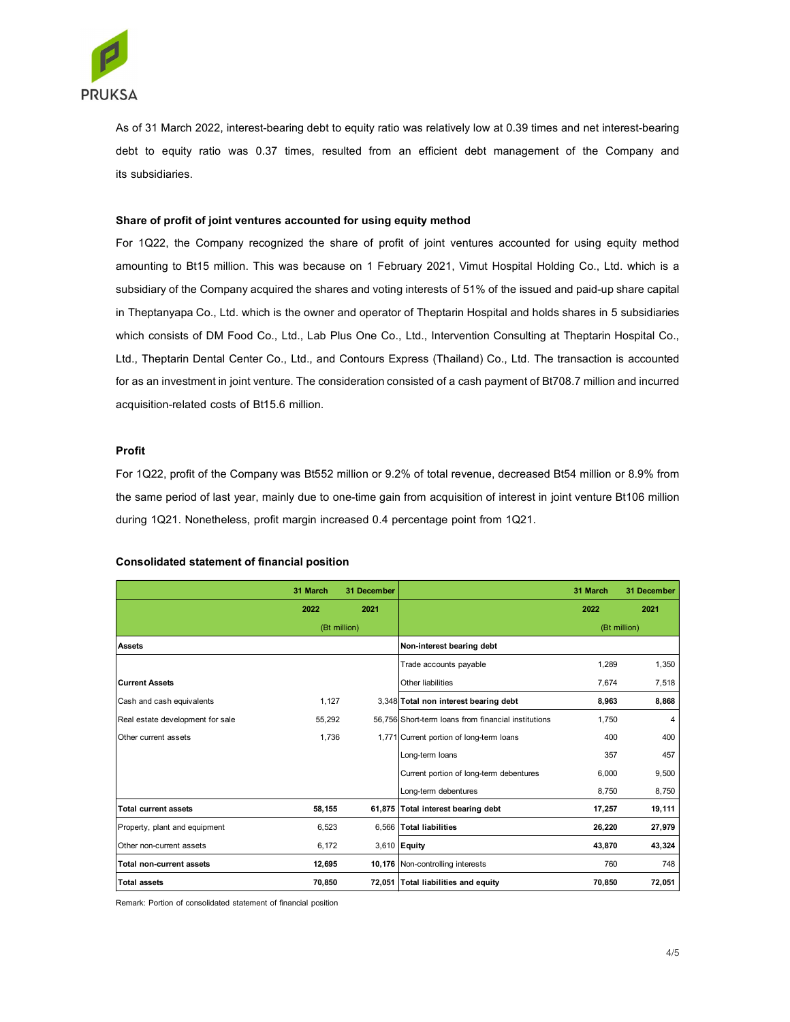

As of 31 March 2022, interest-bearing debt to equity ratio was relatively low at 0.39 times and net interest-bearing debt to equity ratio was 0.37 times, resulted from an efficient debt management of the Company and its subsidiaries.

## Share of profit of joint ventures accounted for using equity method

For 1Q22, the Company recognized the share of profit of joint ventures accounted for using equity method amounting to Bt15 million. This was because on 1 February 2021, Vimut Hospital Holding Co., Ltd. which is a subsidiary of the Company acquired the shares and voting interests of 51% of the issued and paid-up share capital in Theptanyapa Co., Ltd. which is the owner and operator of Theptarin Hospital and holds shares in 5 subsidiaries which consists of DM Food Co., Ltd., Lab Plus One Co., Ltd., Intervention Consulting at Theptarin Hospital Co., Ltd., Theptarin Dental Center Co., Ltd., and Contours Express (Thailand) Co., Ltd. The transaction is accounted for as an investment in joint venture. The consideration consisted of a cash payment of Bt708.7 million and incurred acquisition-related costs of Bt15.6 million.

#### Profit

#### Consolidated statement of financial position

|                                                                                   |              |             | in Theptanyapa Co., Ltd. which is the owner and operator of Theptarin Hospital and holds shares in 5 subsidiaries     |              |             |
|-----------------------------------------------------------------------------------|--------------|-------------|-----------------------------------------------------------------------------------------------------------------------|--------------|-------------|
|                                                                                   |              |             | which consists of DM Food Co., Ltd., Lab Plus One Co., Ltd., Intervention Consulting at Theptarin Hospital Co.,       |              |             |
|                                                                                   |              |             | Ltd., Theptarin Dental Center Co., Ltd., and Contours Express (Thailand) Co., Ltd. The transaction is accounted       |              |             |
|                                                                                   |              |             | for as an investment in joint venture. The consideration consisted of a cash payment of Bt708.7 million and incurred  |              |             |
| acquisition-related costs of Bt15.6 million.                                      |              |             |                                                                                                                       |              |             |
|                                                                                   |              |             |                                                                                                                       |              |             |
|                                                                                   |              |             |                                                                                                                       |              |             |
| Profit                                                                            |              |             |                                                                                                                       |              |             |
|                                                                                   |              |             | For 1Q22, profit of the Company was Bt552 million or 9.2% of total revenue, decreased Bt54 million or 8.9% from       |              |             |
|                                                                                   |              |             | the same period of last year, mainly due to one-time gain from acquisition of interest in joint venture Bt106 million |              |             |
| during 1Q21. Nonetheless, profit margin increased 0.4 percentage point from 1Q21. |              |             |                                                                                                                       |              |             |
|                                                                                   |              |             |                                                                                                                       |              |             |
| <b>Consolidated statement of financial position</b>                               |              |             |                                                                                                                       |              |             |
|                                                                                   |              |             |                                                                                                                       |              |             |
|                                                                                   | 31 March     | 31 December |                                                                                                                       | 31 March     | 31 December |
|                                                                                   | 2022         | 2021        |                                                                                                                       | 2022         | 2021        |
| Assets                                                                            | (Bt million) |             | Non-interest bearing debt                                                                                             | (Bt million) |             |
|                                                                                   |              |             | Trade accounts payable                                                                                                | 1,289        | 1,350       |
| <b>Current Assets</b>                                                             |              |             | Other liabilities                                                                                                     | 7,674        | 7,518       |
| Cash and cash equivalents                                                         | 1,127        |             | 3,348 Total non interest bearing debt                                                                                 | 8,963        | 8,868       |
| Real estate development for sale                                                  | 55,292       |             | 56,756 Short-term loans from financial institutions                                                                   | 1,750        | 4           |
| Other current assets                                                              | 1,736        |             | 1,771 Current portion of long-term loans                                                                              | 400          | 400         |
|                                                                                   |              |             | Long-term loans                                                                                                       | 357          | 457         |
|                                                                                   |              |             | Current portion of long-term debentures                                                                               | 6,000        | 9,500       |
|                                                                                   |              |             | Long-term debentures                                                                                                  | 8,750        | 8,750       |
| <b>Total current assets</b>                                                       | 58,155       |             | 61,875 Total interest bearing debt                                                                                    | 17,257       | 19,111      |
| Property, plant and equipment                                                     | 6,523        |             | 6,566 Total liabilities                                                                                               | 26,220       | 27,979      |
| Other non-current assets                                                          | 6,172        |             | 3,610 Equity                                                                                                          | 43,870       | 43,324      |
| Total non-current assets                                                          | 12,695       |             | 10,176 Non-controlling interests                                                                                      | 760          | 748         |
| <b>Total assets</b>                                                               | 70,850       |             | 72,051 Total liabilities and equity                                                                                   | 70,850       | 72,051      |
| Remark: Portion of consolidated statement of financial position                   |              |             |                                                                                                                       |              |             |
|                                                                                   |              |             |                                                                                                                       |              |             |
|                                                                                   |              |             |                                                                                                                       |              | 4/5         |
|                                                                                   |              |             |                                                                                                                       |              |             |
|                                                                                   |              |             |                                                                                                                       |              |             |
|                                                                                   |              |             |                                                                                                                       |              |             |
|                                                                                   |              |             |                                                                                                                       |              |             |